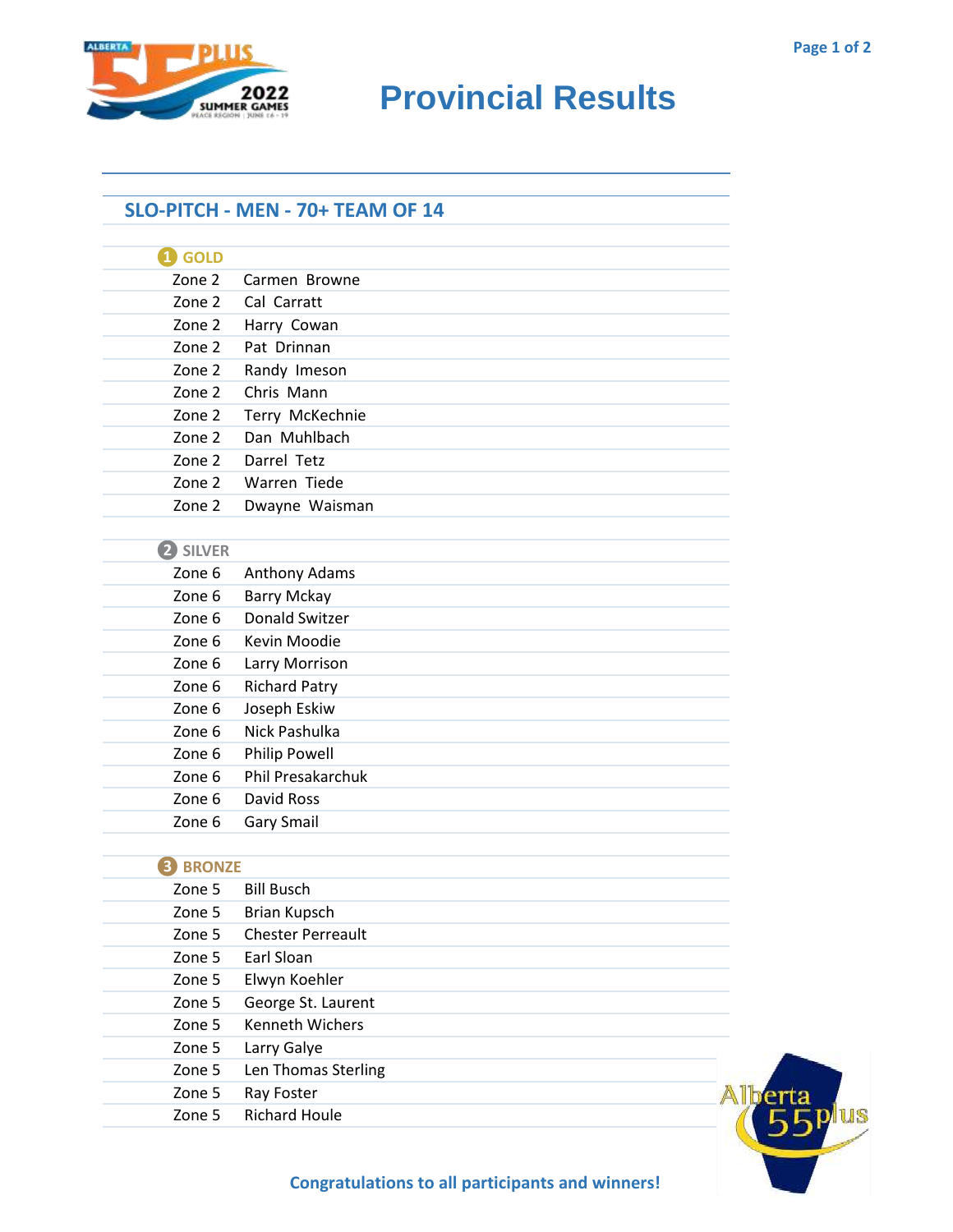

## **SUMMER GAMES Provincial Results**

## **SLO-PITCH - MEN - 70+ TEAM OF 14**

| $\mathbf 1$ GOLD                   |                          |
|------------------------------------|--------------------------|
| Zone 2                             | Carmen Browne            |
| Zone 2                             | Cal Carratt              |
| Zone 2                             | Harry Cowan              |
| Zone 2                             | Pat Drinnan              |
| Zone 2                             | Randy Imeson             |
| Zone 2                             | Chris Mann               |
| Zone 2                             | Terry McKechnie          |
| Zone 2                             | Dan Muhlbach             |
| Zone 2                             | Darrel Tetz              |
| Zone 2                             | Warren Tiede             |
| Zone 2                             | Dwayne Waisman           |
|                                    |                          |
| 2 SILVER                           |                          |
| Zone 6                             | Anthony Adams            |
| Zone 6                             | <b>Barry Mckay</b>       |
| Zone 6                             | <b>Donald Switzer</b>    |
| Zone 6                             | Kevin Moodie             |
| Zone 6                             | Larry Morrison           |
| Zone 6                             | <b>Richard Patry</b>     |
| Zone 6                             | Joseph Eskiw             |
| Zone 6                             | Nick Pashulka            |
| Zone 6                             | <b>Philip Powell</b>     |
| Zone 6                             | <b>Phil Presakarchuk</b> |
| Zone 6                             | David Ross               |
| Zone 6                             | <b>Gary Smail</b>        |
|                                    |                          |
| <b>BRONZE</b><br>$\vert 3 \rangle$ |                          |
|                                    |                          |